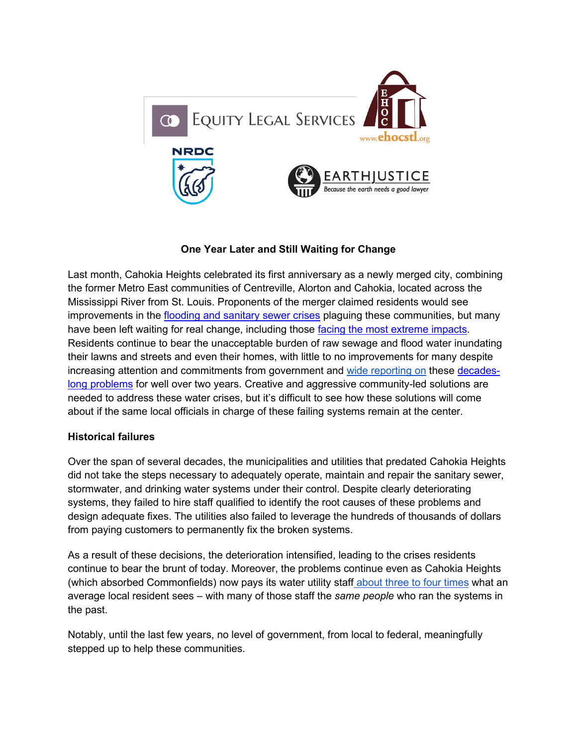

# **One Year Later and Still Waiting for Change**

Last month, Cahokia Heights celebrated its first anniversary as a newly merged city, combining the former Metro East communities of Centreville, Alorton and Cahokia, located across the Mississippi River from St. Louis. Proponents of the merger claimed residents would see improvements in the [flooding and sanitary sewer crises](https://www.theguardian.com/us-news/2021/feb/11/centreville-illinois-flooding-sewage-overflow) plaguing these communities, but many have been left waiting for real change, including those [facing the most extreme impacts.](https://floodedandforgotten.com/interviews/) Residents continue to bear the unacceptable burden of raw sewage and flood water inundating their lawns and streets and even their homes, with little to no improvements for many despite increasing attention and commitments from government and [wide reporting on](https://www.stltoday.com/news/local/illinois/a-plea-for-help-centreville-s-sewage-and-drainage-problems-pose-health-safety-risks/article_3d6d22c7-8c57-5d1a-8af3-a6e6ee6ea2ee.html) these [decades](https://floodedandforgotten.com/history-of-the-centreville-sewage-crisis/)[long problems](https://floodedandforgotten.com/history-of-the-centreville-sewage-crisis/) for well over two years. Creative and aggressive community-led solutions are needed to address these water crises, but it's difficult to see how these solutions will come about if the same local officials in charge of these failing systems remain at the center.

### **Historical failures**

Over the span of several decades, the municipalities and utilities that predated Cahokia Heights did not take the steps necessary to adequately operate, maintain and repair the sanitary sewer, stormwater, and drinking water systems under their control. Despite clearly deteriorating systems, they failed to hire staff qualified to identify the root causes of these problems and design adequate fixes. The utilities also failed to leverage the hundreds of thousands of dollars from paying customers to permanently fix the broken systems.

As a result of these decisions, the deterioration intensified, leading to the crises residents continue to bear the brunt of today. Moreover, the problems continue even as Cahokia Heights (which absorbed Commonfields) now pays its water utility staff [about three to four times](https://www.bnd.com/news/local/article254757602.html) what an average local resident sees – with many of those staff the *same people* who ran the systems in the past.

Notably, until the last few years, no level of government, from local to federal, meaningfully stepped up to help these communities.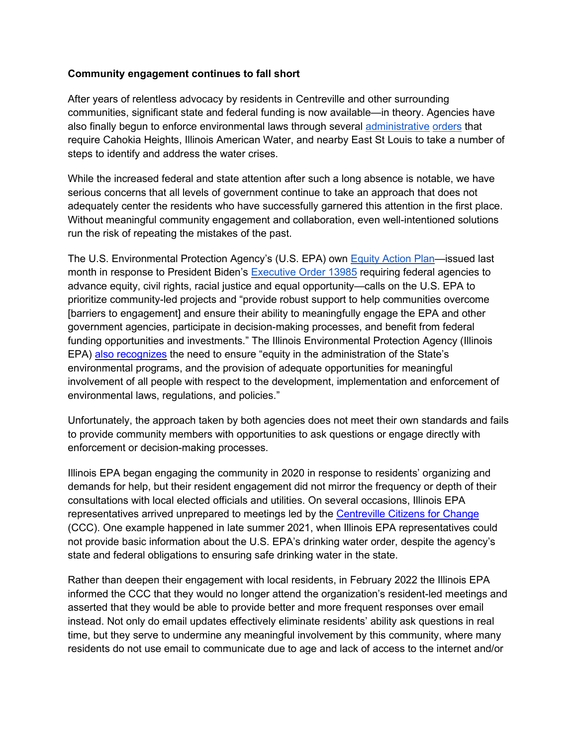## **Community engagement continues to fall short**

After years of relentless advocacy by residents in Centreville and other surrounding communities, significant state and federal funding is now available—in theory. Agencies have also finally begun to enforce environmental laws through several [administrative](https://www.epa.gov/il/communities-east-st-louis-area-and-sanitary-sewer-overflows) [orders](https://www.epa.gov/il/cahokia-heights-drinking-water) [t](https://www.epa.gov/il/cahokia-heights-drinking-water)hat require Cahokia Heights, Illinois American Water, and nearby East St Louis to take a number of steps to identify and address the water crises.

While the increased federal and state attention after such a long absence is notable, we have serious concerns that all levels of government continue to take an approach that does not adequately center the residents who have successfully garnered this attention in the first place. Without meaningful community engagement and collaboration, even well-intentioned solutions run the risk of repeating the mistakes of the past.

The U.S. Environmental Protection Agency's (U.S. EPA) own **Equity Action Plan—issued last** month in response to President Biden's [Executive Order 13985](https://www.govinfo.gov/content/pkg/FR-2021-01-25/pdf/2021-01753.pdf) requiring federal agencies to advance equity, civil rights, racial justice and equal opportunity—calls on the U.S. EPA to prioritize community-led projects and "provide robust support to help communities overcome [barriers to engagement] and ensure their ability to meaningfully engage the EPA and other government agencies, participate in decision-making processes, and benefit from federal funding opportunities and investments." The Illinois Environmental Protection Agency (Illinois EPA) [also recognizes](https://www2.illinois.gov/epa/topics/environmental-justice/Pages/default.aspx) the need to ensure "equity in the administration of the State's environmental programs, and the provision of adequate opportunities for meaningful involvement of all people with respect to the development, implementation and enforcement of environmental laws, regulations, and policies."

Unfortunately, the approach taken by both agencies does not meet their own standards and fails to provide community members with opportunities to ask questions or engage directly with enforcement or decision-making processes.

Illinois EPA began engaging the community in 2020 in response to residents' organizing and demands for help, but their resident engagement did not mirror the frequency or depth of their consultations with local elected officials and utilities. On several occasions, Illinois EPA representatives arrived unprepared to meetings led by the [Centreville Citizens for Change](https://floodedandforgotten.com/) (CCC). One example happened in late summer 2021, when Illinois EPA representatives could not provide basic information about the U.S. EPA's drinking water order, despite the agency's state and federal obligations to ensuring safe drinking water in the state.

Rather than deepen their engagement with local residents, in February 2022 the Illinois EPA informed the CCC that they would no longer attend the organization's resident-led meetings and asserted that they would be able to provide better and more frequent responses over email instead. Not only do email updates effectively eliminate residents' ability ask questions in real time, but they serve to undermine any meaningful involvement by this community, where many residents do not use email to communicate due to age and lack of access to the internet and/or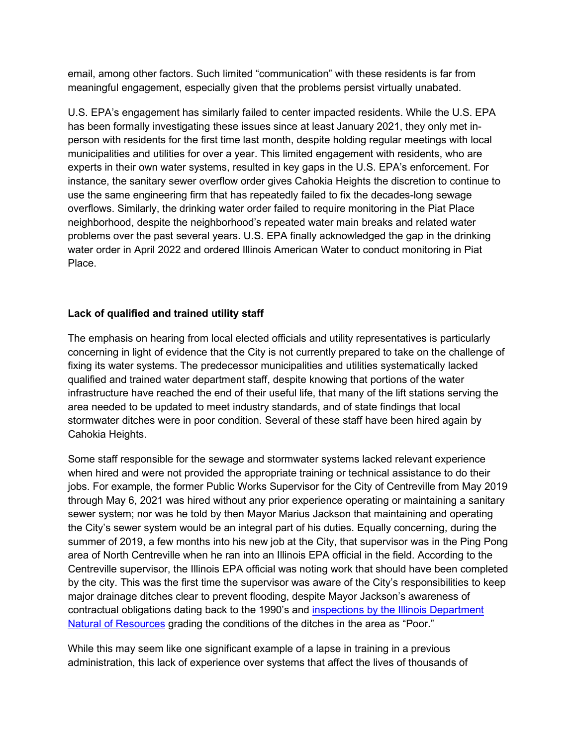email, among other factors. Such limited "communication" with these residents is far from meaningful engagement, especially given that the problems persist virtually unabated.

U.S. EPA's engagement has similarly failed to center impacted residents. While the U.S. EPA has been formally investigating these issues since at least January 2021, they only met inperson with residents for the first time last month, despite holding regular meetings with local municipalities and utilities for over a year. This limited engagement with residents, who are experts in their own water systems, resulted in key gaps in the U.S. EPA's enforcement. For instance, the sanitary sewer overflow order gives Cahokia Heights the discretion to continue to use the same engineering firm that has repeatedly failed to fix the decades-long sewage overflows. Similarly, the drinking water order failed to require monitoring in the Piat Place neighborhood, despite the neighborhood's repeated water main breaks and related water problems over the past several years. U.S. EPA finally acknowledged the gap in the drinking water order in April 2022 and ordered Illinois American Water to conduct monitoring in Piat Place.

## **Lack of qualified and trained utility staff**

The emphasis on hearing from local elected officials and utility representatives is particularly concerning in light of evidence that the City is not currently prepared to take on the challenge of fixing its water systems. The predecessor municipalities and utilities systematically lacked qualified and trained water department staff, despite knowing that portions of the water infrastructure have reached the end of their useful life, that many of the lift stations serving the area needed to be updated to meet industry standards, and of state findings that local stormwater ditches were in poor condition. Several of these staff have been hired again by Cahokia Heights.

Some staff responsible for the sewage and stormwater systems lacked relevant experience when hired and were not provided the appropriate training or technical assistance to do their jobs. For example, the former Public Works Supervisor for the City of Centreville from May 2019 through May 6, 2021 was hired without any prior experience operating or maintaining a sanitary sewer system; nor was he told by then Mayor Marius Jackson that maintaining and operating the City's sewer system would be an integral part of his duties. Equally concerning, during the summer of 2019, a few months into his new job at the City, that supervisor was in the Ping Pong area of North Centreville when he ran into an Illinois EPA official in the field. According to the Centreville supervisor, the Illinois EPA official was noting work that should have been completed by the city. This was the first time the supervisor was aware of the City's responsibilities to keep major drainage ditches clear to prevent flooding, despite Mayor Jackson's awareness of contractual obligations dating back to the 1990's and [inspections by the Illinois Department](https://drive.google.com/file/d/1oD8nXKMQxR8EX67MkmK6upC06XdQ4_ae/view?usp=sharing)  [Natural of Resources](https://drive.google.com/file/d/1oD8nXKMQxR8EX67MkmK6upC06XdQ4_ae/view?usp=sharing) grading the conditions of the ditches in the area as "Poor."

While this may seem like one significant example of a lapse in training in a previous administration, this lack of experience over systems that affect the lives of thousands of